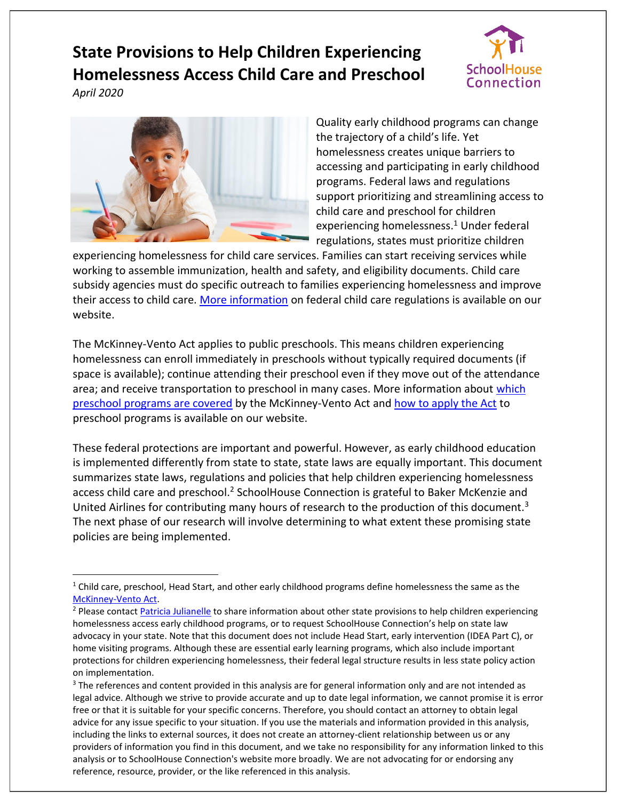# **State Provisions to Help Children Experiencing Homelessness Access Child Care and Preschool**



*April 2020*

 $\overline{a}$ 



Quality early childhood programs can change the trajectory of a child's life. Yet homelessness creates unique barriers to accessing and participating in early childhood programs. Federal laws and regulations support prioritizing and streamlining access to child care and preschool for children experiencing homelessness.<sup>1</sup> Under federal regulations, states must prioritize children

experiencing homelessness for child care services. Families can start receiving services while working to assemble immunization, health and safety, and eligibility documents. Child care subsidy agencies must do specific outreach to families experiencing homelessness and improve their access to child care. [More information](https://www.schoolhouseconnection.org/federal-child-care-regulations-and-homelessness/) on federal child care regulations is available on our website.

The McKinney-Vento Act applies to public preschools. This means children experiencing homelessness can enroll immediately in preschools without typically required documents (if space is available); continue attending their preschool even if they move out of the attendance area; and receive transportation to preschool in many cases. More information about which [preschool programs are covered](https://www.schoolhouseconnection.org/flow-chart-to-determine-preschools/) by the McKinney-Vento Act and [how to apply the Act](https://www.schoolhouseconnection.org/preschool-to-prevent-homelessness-research-rights-and-resources/) to preschool programs is available on our website.

These federal protections are important and powerful. However, as early childhood education is implemented differently from state to state, state laws are equally important. This document summarizes state laws, regulations and policies that help children experiencing homelessness access child care and preschool.<sup>2</sup> SchoolHouse Connection is grateful to Baker McKenzie and United Airlines for contributing many hours of research to the production of this document.<sup>3</sup> The next phase of our research will involve determining to what extent these promising state policies are being implemented.

<sup>&</sup>lt;sup>1</sup> Child care, preschool, Head Start, and other early childhood programs define homelessness the same as the [McKinney-Vento Act.](https://www.schoolhouseconnection.org/homelessness-under-the-mckinney-vento-act-definition-and-signs-of-homelessness-for-schools/)

<sup>&</sup>lt;sup>2</sup> Please contac[t Patricia Julianelle](mailto:patricia@schoolhouseconnection.org) to share information about other state provisions to help children experiencing homelessness access early childhood programs, or to request SchoolHouse Connection's help on state law advocacy in your state. Note that this document does not include Head Start, early intervention (IDEA Part C), or home visiting programs. Although these are essential early learning programs, which also include important protections for children experiencing homelessness, their federal legal structure results in less state policy action on implementation.

<sup>&</sup>lt;sup>3</sup> The references and content provided in this analysis are for general information only and are not intended as legal advice. Although we strive to provide accurate and up to date legal information, we cannot promise it is error free or that it is suitable for your specific concerns. Therefore, you should contact an attorney to obtain legal advice for any issue specific to your situation. If you use the materials and information provided in this analysis, including the links to external sources, it does not create an attorney-client relationship between us or any providers of information you find in this document, and we take no responsibility for any information linked to this analysis or to SchoolHouse Connection's website more broadly. We are not advocating for or endorsing any reference, resource, provider, or the like referenced in this analysis.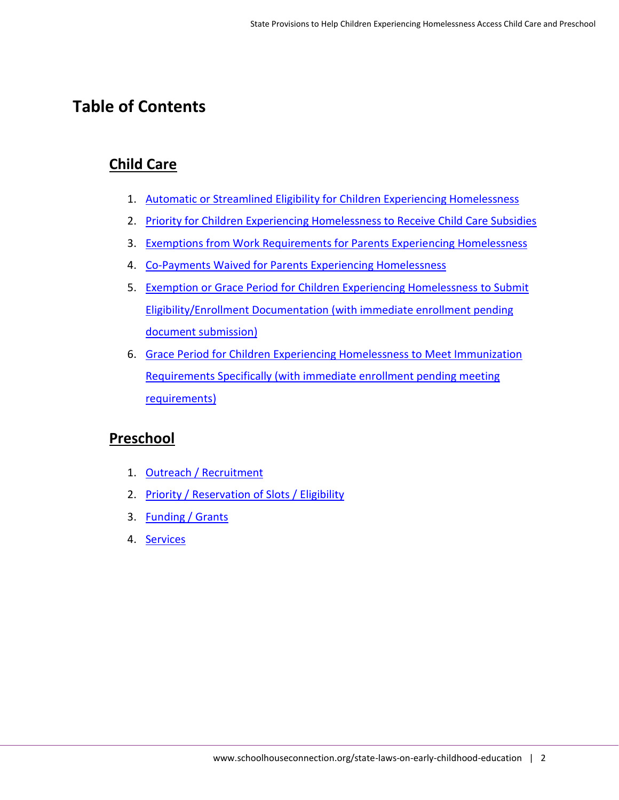## **Table of Contents**

### **Child Care**

- 1. [Automatic or Streamlined Eligibility for Children Experiencing Homelessness](#page-2-0)
- 2. [Priority for Children Experiencing Homelessness to Receive Child Care Subsidies](#page-4-0)
- 3. [Exemptions from Work Requirements for Parents Experiencing Homelessness](#page-6-0)
- 4. [Co-Payments Waived for Parents Experiencing Homelessness](#page-7-0)
- 5. Exemption or Grace Period for [Children Experiencing Homelessness to](#page-8-0) Submit [Eligibility/Enrollment Documentation \(with immediate enrollment pending](#page-8-0)  [document submission\)](#page-8-0)
- 6. Grace Period for [Children Experiencing Homelessness to](#page-9-0) Meet Immunization [Requirements Specifically \(with immediate enrollment pending meeting](#page-9-0)  [requirements\)](#page-9-0)

#### **Preschool**

- 1. [Outreach / Recruitment](#page-11-0)
- 2. [Priority / Reservation of Slots / Eligibility](#page-11-1)
- 3. [Funding / Grants](#page-12-0)
- 4. [Services](#page-12-1)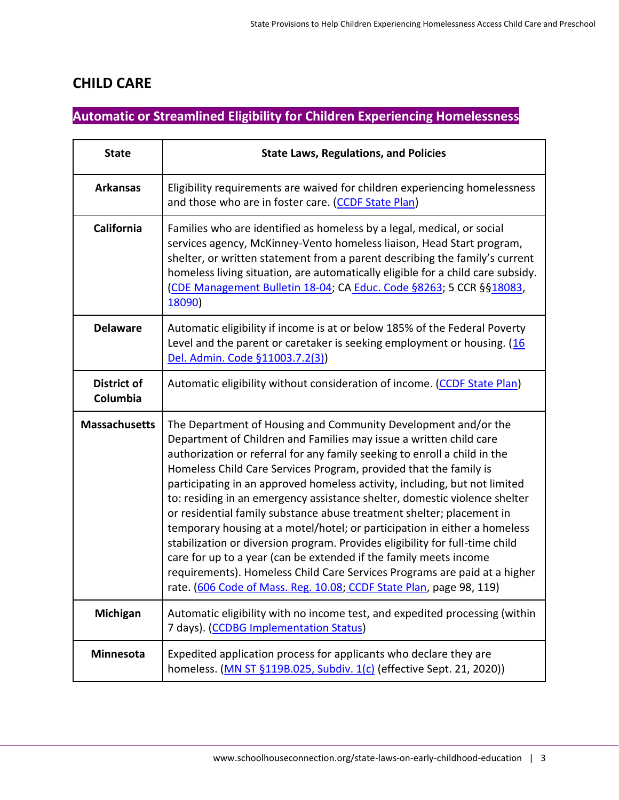#### **CHILD CARE**

### <span id="page-2-0"></span>**Automatic or Streamlined Eligibility for Children Experiencing Homelessness**

| <b>State</b>                   | <b>State Laws, Regulations, and Policies</b>                                                                                                                                                                                                                                                                                                                                                                                                                                                                                                                                                                                                                                                                                                                                                                                                                                                                      |
|--------------------------------|-------------------------------------------------------------------------------------------------------------------------------------------------------------------------------------------------------------------------------------------------------------------------------------------------------------------------------------------------------------------------------------------------------------------------------------------------------------------------------------------------------------------------------------------------------------------------------------------------------------------------------------------------------------------------------------------------------------------------------------------------------------------------------------------------------------------------------------------------------------------------------------------------------------------|
| <b>Arkansas</b>                | Eligibility requirements are waived for children experiencing homelessness<br>and those who are in foster care. (CCDF State Plan)                                                                                                                                                                                                                                                                                                                                                                                                                                                                                                                                                                                                                                                                                                                                                                                 |
| California                     | Families who are identified as homeless by a legal, medical, or social<br>services agency, McKinney-Vento homeless liaison, Head Start program,<br>shelter, or written statement from a parent describing the family's current<br>homeless living situation, are automatically eligible for a child care subsidy.<br>(CDE Management Bulletin 18-04; CA Educ. Code §8263; 5 CCR §§18083,<br>18090)                                                                                                                                                                                                                                                                                                                                                                                                                                                                                                                |
| <b>Delaware</b>                | Automatic eligibility if income is at or below 185% of the Federal Poverty<br>Level and the parent or caretaker is seeking employment or housing. (16<br>Del. Admin. Code §11003.7.2(3))                                                                                                                                                                                                                                                                                                                                                                                                                                                                                                                                                                                                                                                                                                                          |
| <b>District of</b><br>Columbia | Automatic eligibility without consideration of income. (CCDF State Plan)                                                                                                                                                                                                                                                                                                                                                                                                                                                                                                                                                                                                                                                                                                                                                                                                                                          |
| <b>Massachusetts</b>           | The Department of Housing and Community Development and/or the<br>Department of Children and Families may issue a written child care<br>authorization or referral for any family seeking to enroll a child in the<br>Homeless Child Care Services Program, provided that the family is<br>participating in an approved homeless activity, including, but not limited<br>to: residing in an emergency assistance shelter, domestic violence shelter<br>or residential family substance abuse treatment shelter; placement in<br>temporary housing at a motel/hotel; or participation in either a homeless<br>stabilization or diversion program. Provides eligibility for full-time child<br>care for up to a year (can be extended if the family meets income<br>requirements). Homeless Child Care Services Programs are paid at a higher<br>rate. (606 Code of Mass. Reg. 10.08; CCDF State Plan, page 98, 119) |
| Michigan                       | Automatic eligibility with no income test, and expedited processing (within<br>7 days). (CCDBG Implementation Status)                                                                                                                                                                                                                                                                                                                                                                                                                                                                                                                                                                                                                                                                                                                                                                                             |
| <b>Minnesota</b>               | Expedited application process for applicants who declare they are<br>homeless. (MN ST §119B.025, Subdiv. 1(c) (effective Sept. 21, 2020))                                                                                                                                                                                                                                                                                                                                                                                                                                                                                                                                                                                                                                                                                                                                                                         |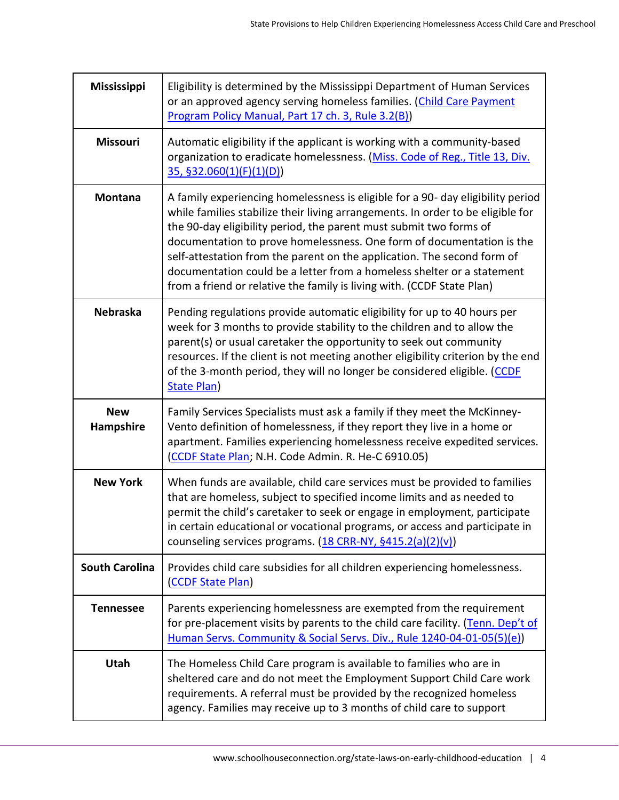| <b>Mississippi</b>      | Eligibility is determined by the Mississippi Department of Human Services<br>or an approved agency serving homeless families. (Child Care Payment<br>Program Policy Manual, Part 17 ch. 3, Rule 3.2(B))                                                                                                                                                                                                                                                                                                                                          |
|-------------------------|--------------------------------------------------------------------------------------------------------------------------------------------------------------------------------------------------------------------------------------------------------------------------------------------------------------------------------------------------------------------------------------------------------------------------------------------------------------------------------------------------------------------------------------------------|
| <b>Missouri</b>         | Automatic eligibility if the applicant is working with a community-based<br>organization to eradicate homelessness. (Miss. Code of Reg., Title 13, Div.<br>35, \$32.060(1)(F)(1)(D))                                                                                                                                                                                                                                                                                                                                                             |
| <b>Montana</b>          | A family experiencing homelessness is eligible for a 90- day eligibility period<br>while families stabilize their living arrangements. In order to be eligible for<br>the 90-day eligibility period, the parent must submit two forms of<br>documentation to prove homelessness. One form of documentation is the<br>self-attestation from the parent on the application. The second form of<br>documentation could be a letter from a homeless shelter or a statement<br>from a friend or relative the family is living with. (CCDF State Plan) |
| <b>Nebraska</b>         | Pending regulations provide automatic eligibility for up to 40 hours per<br>week for 3 months to provide stability to the children and to allow the<br>parent(s) or usual caretaker the opportunity to seek out community<br>resources. If the client is not meeting another eligibility criterion by the end<br>of the 3-month period, they will no longer be considered eligible. (CCDF<br><b>State Plan)</b>                                                                                                                                  |
| <b>New</b><br>Hampshire | Family Services Specialists must ask a family if they meet the McKinney-<br>Vento definition of homelessness, if they report they live in a home or<br>apartment. Families experiencing homelessness receive expedited services.<br>(CCDF State Plan; N.H. Code Admin. R. He-C 6910.05)                                                                                                                                                                                                                                                          |
| <b>New York</b>         | When funds are available, child care services must be provided to families<br>that are homeless, subject to specified income limits and as needed to<br>permit the child's caretaker to seek or engage in employment, participate<br>in certain educational or vocational programs, or access and participate in<br>counseling services programs. (18 CRR-NY, §415.2(a)(2)(v))                                                                                                                                                                   |
| <b>South Carolina</b>   | Provides child care subsidies for all children experiencing homelessness.<br>(CCDF State Plan)                                                                                                                                                                                                                                                                                                                                                                                                                                                   |
| <b>Tennessee</b>        | Parents experiencing homelessness are exempted from the requirement<br>for pre-placement visits by parents to the child care facility. (Tenn. Dep't of<br>Human Servs. Community & Social Servs. Div., Rule 1240-04-01-05(5)(e))                                                                                                                                                                                                                                                                                                                 |
| Utah                    | The Homeless Child Care program is available to families who are in<br>sheltered care and do not meet the Employment Support Child Care work<br>requirements. A referral must be provided by the recognized homeless<br>agency. Families may receive up to 3 months of child care to support                                                                                                                                                                                                                                                     |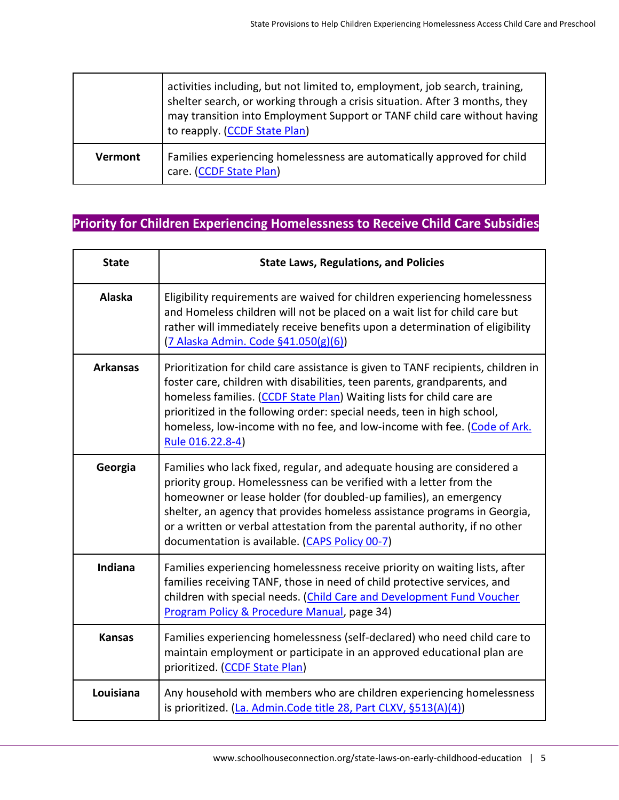|                | activities including, but not limited to, employment, job search, training,<br>shelter search, or working through a crisis situation. After 3 months, they<br>may transition into Employment Support or TANF child care without having<br>to reapply. (CCDF State Plan) |
|----------------|-------------------------------------------------------------------------------------------------------------------------------------------------------------------------------------------------------------------------------------------------------------------------|
| <b>Vermont</b> | Families experiencing homelessness are automatically approved for child<br>care. (CCDF State Plan)                                                                                                                                                                      |

### <span id="page-4-0"></span>**Priority for Children Experiencing Homelessness to Receive Child Care Subsidies**

| <b>State</b>    | <b>State Laws, Regulations, and Policies</b>                                                                                                                                                                                                                                                                                                                                                                                      |
|-----------------|-----------------------------------------------------------------------------------------------------------------------------------------------------------------------------------------------------------------------------------------------------------------------------------------------------------------------------------------------------------------------------------------------------------------------------------|
| <b>Alaska</b>   | Eligibility requirements are waived for children experiencing homelessness<br>and Homeless children will not be placed on a wait list for child care but<br>rather will immediately receive benefits upon a determination of eligibility<br>(7 Alaska Admin. Code §41.050(g)(6))                                                                                                                                                  |
| <b>Arkansas</b> | Prioritization for child care assistance is given to TANF recipients, children in<br>foster care, children with disabilities, teen parents, grandparents, and<br>homeless families. (CCDF State Plan) Waiting lists for child care are<br>prioritized in the following order: special needs, teen in high school,<br>homeless, low-income with no fee, and low-income with fee. (Code of Ark.<br>Rule 016.22.8-4)                 |
| Georgia         | Families who lack fixed, regular, and adequate housing are considered a<br>priority group. Homelessness can be verified with a letter from the<br>homeowner or lease holder (for doubled-up families), an emergency<br>shelter, an agency that provides homeless assistance programs in Georgia,<br>or a written or verbal attestation from the parental authority, if no other<br>documentation is available. (CAPS Policy 00-7) |
| Indiana         | Families experiencing homelessness receive priority on waiting lists, after<br>families receiving TANF, those in need of child protective services, and<br>children with special needs. (Child Care and Development Fund Voucher<br>Program Policy & Procedure Manual, page 34)                                                                                                                                                   |
| <b>Kansas</b>   | Families experiencing homelessness (self-declared) who need child care to<br>maintain employment or participate in an approved educational plan are<br>prioritized. (CCDF State Plan)                                                                                                                                                                                                                                             |
| Louisiana       | Any household with members who are children experiencing homelessness<br>is prioritized. (La. Admin. Code title 28, Part CLXV, §513(A)(4))                                                                                                                                                                                                                                                                                        |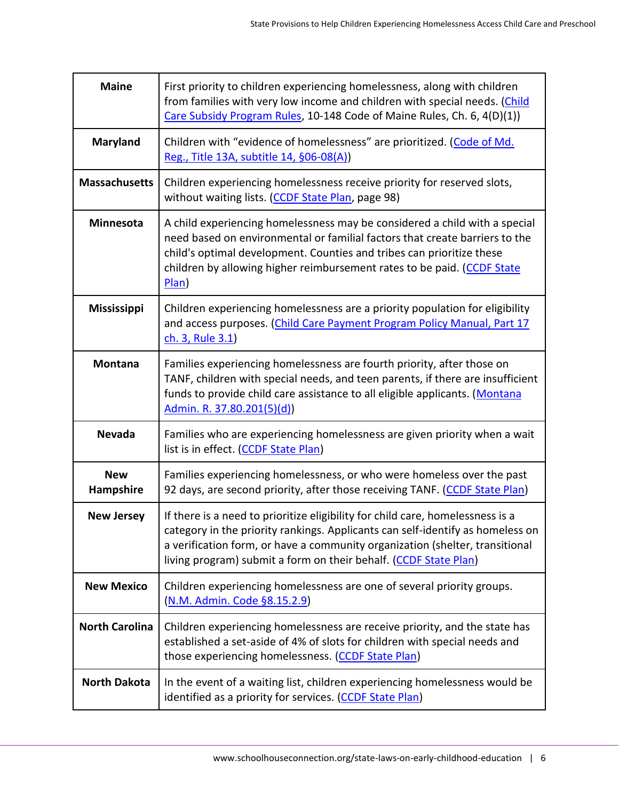| <b>Maine</b>            | First priority to children experiencing homelessness, along with children<br>from families with very low income and children with special needs. (Child<br>Care Subsidy Program Rules, 10-148 Code of Maine Rules, Ch. 6, 4(D)(1))                                                                                     |
|-------------------------|------------------------------------------------------------------------------------------------------------------------------------------------------------------------------------------------------------------------------------------------------------------------------------------------------------------------|
| <b>Maryland</b>         | Children with "evidence of homelessness" are prioritized. (Code of Md.<br>Reg., Title 13A, subtitle 14, §06-08(A))                                                                                                                                                                                                     |
| <b>Massachusetts</b>    | Children experiencing homelessness receive priority for reserved slots,<br>without waiting lists. (CCDF State Plan, page 98)                                                                                                                                                                                           |
| <b>Minnesota</b>        | A child experiencing homelessness may be considered a child with a special<br>need based on environmental or familial factors that create barriers to the<br>child's optimal development. Counties and tribes can prioritize these<br>children by allowing higher reimbursement rates to be paid. (CCDF State<br>Plan) |
| <b>Mississippi</b>      | Children experiencing homelessness are a priority population for eligibility<br>and access purposes. (Child Care Payment Program Policy Manual, Part 17<br>ch. 3, Rule 3.1)                                                                                                                                            |
| <b>Montana</b>          | Families experiencing homelessness are fourth priority, after those on<br>TANF, children with special needs, and teen parents, if there are insufficient<br>funds to provide child care assistance to all eligible applicants. (Montana<br>Admin. R. 37.80.201(5)(d))                                                  |
| <b>Nevada</b>           | Families who are experiencing homelessness are given priority when a wait<br>list is in effect. (CCDF State Plan)                                                                                                                                                                                                      |
| <b>New</b><br>Hampshire | Families experiencing homelessness, or who were homeless over the past<br>92 days, are second priority, after those receiving TANF. (CCDF State Plan)                                                                                                                                                                  |
| <b>New Jersey</b>       | If there is a need to prioritize eligibility for child care, homelessness is a<br>category in the priority rankings. Applicants can self-identify as homeless on<br>a verification form, or have a community organization (shelter, transitional<br>living program) submit a form on their behalf. (CCDF State Plan)   |
| <b>New Mexico</b>       | Children experiencing homelessness are one of several priority groups.<br>(N.M. Admin. Code §8.15.2.9)                                                                                                                                                                                                                 |
| <b>North Carolina</b>   | Children experiencing homelessness are receive priority, and the state has<br>established a set-aside of 4% of slots for children with special needs and<br>those experiencing homelessness. (CCDF State Plan)                                                                                                         |
| <b>North Dakota</b>     | In the event of a waiting list, children experiencing homelessness would be<br>identified as a priority for services. (CCDF State Plan)                                                                                                                                                                                |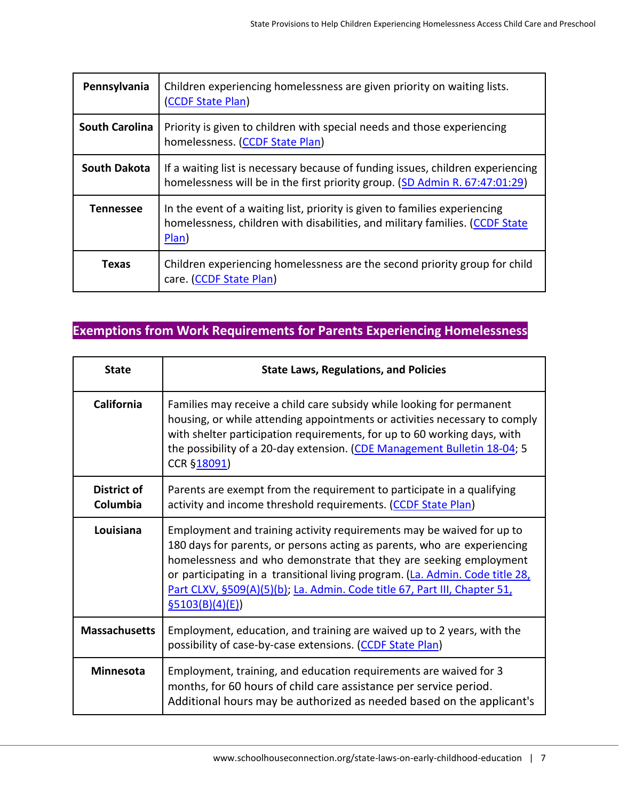| Pennsylvania          | Children experiencing homelessness are given priority on waiting lists.<br>(CCDF State Plan)                                                                           |
|-----------------------|------------------------------------------------------------------------------------------------------------------------------------------------------------------------|
| <b>South Carolina</b> | Priority is given to children with special needs and those experiencing<br>homelessness. (CCDF State Plan)                                                             |
| <b>South Dakota</b>   | If a waiting list is necessary because of funding issues, children experiencing<br>homelessness will be in the first priority group. (SD Admin R. 67:47:01:29)         |
| <b>Tennessee</b>      | In the event of a waiting list, priority is given to families experiencing<br>homelessness, children with disabilities, and military families. (CCDF State<br>$Plan$ ) |
| <b>Texas</b>          | Children experiencing homelessness are the second priority group for child<br>care. (CCDF State Plan)                                                                  |

## <span id="page-6-0"></span>**Exemptions from Work Requirements for Parents Experiencing Homelessness**

| <b>State</b>                   | <b>State Laws, Regulations, and Policies</b>                                                                                                                                                                                                                                                                                                                                                            |
|--------------------------------|---------------------------------------------------------------------------------------------------------------------------------------------------------------------------------------------------------------------------------------------------------------------------------------------------------------------------------------------------------------------------------------------------------|
| California                     | Families may receive a child care subsidy while looking for permanent<br>housing, or while attending appointments or activities necessary to comply<br>with shelter participation requirements, for up to 60 working days, with<br>the possibility of a 20-day extension. (CDE Management Bulletin 18-04; 5<br>CCR §18091)                                                                              |
| <b>District of</b><br>Columbia | Parents are exempt from the requirement to participate in a qualifying<br>activity and income threshold requirements. (CCDF State Plan)                                                                                                                                                                                                                                                                 |
| Louisiana                      | Employment and training activity requirements may be waived for up to<br>180 days for parents, or persons acting as parents, who are experiencing<br>homelessness and who demonstrate that they are seeking employment<br>or participating in a transitional living program. (La. Admin. Code title 28,<br>Part CLXV, §509(A)(5)(b); La. Admin. Code title 67, Part III, Chapter 51,<br>\$5103(B)(4)(E) |
| <b>Massachusetts</b>           | Employment, education, and training are waived up to 2 years, with the<br>possibility of case-by-case extensions. (CCDF State Plan)                                                                                                                                                                                                                                                                     |
| <b>Minnesota</b>               | Employment, training, and education requirements are waived for 3<br>months, for 60 hours of child care assistance per service period.<br>Additional hours may be authorized as needed based on the applicant's                                                                                                                                                                                         |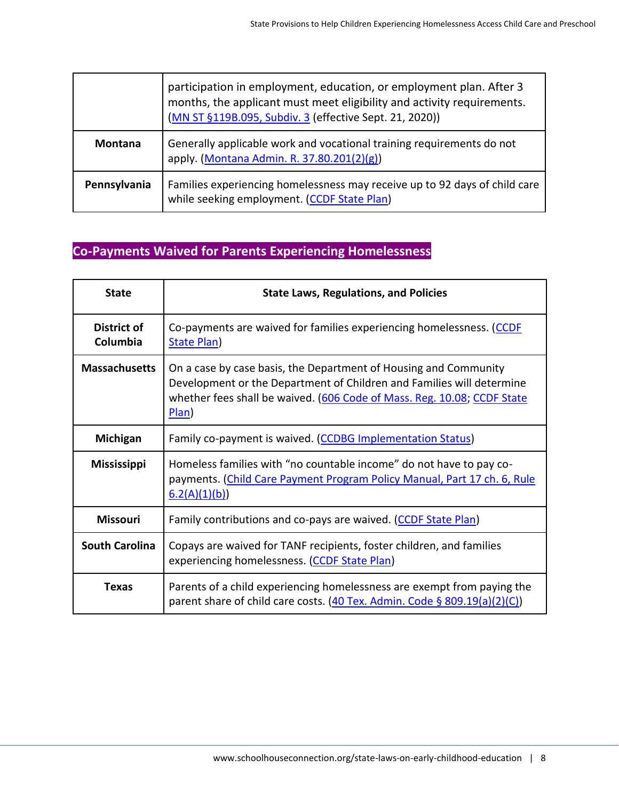|                | participation in employment, education, or employment plan. After 3<br>months, the applicant must meet eligibility and activity requirements.<br>(MN ST §119B.095, Subdiv. 3 (effective Sept. 21, 2020)) |
|----------------|----------------------------------------------------------------------------------------------------------------------------------------------------------------------------------------------------------|
| <b>Montana</b> | Generally applicable work and vocational training requirements do not<br>apply. (Montana Admin. R. 37.80.201(2)(g))                                                                                      |
| Pennsylvania   | Families experiencing homelessness may receive up to 92 days of child care<br>while seeking employment. (CCDF State Plan)                                                                                |

## <span id="page-7-0"></span>**Co-Payments Waived for Parents Experiencing Homelessness**

| <b>State</b>            | <b>State Laws, Regulations, and Policies</b>                                                                                                                                                                                  |
|-------------------------|-------------------------------------------------------------------------------------------------------------------------------------------------------------------------------------------------------------------------------|
| District of<br>Columbia | Co-payments are waived for families experiencing homelessness. (CCDF<br>State Plan)                                                                                                                                           |
| <b>Massachusetts</b>    | On a case by case basis, the Department of Housing and Community<br>Development or the Department of Children and Families will determine<br>whether fees shall be waived. (606 Code of Mass. Reg. 10.08; CCDF State<br>Plan) |
| Michigan                | Family co-payment is waived. (CCDBG Implementation Status)                                                                                                                                                                    |
| <b>Mississippi</b>      | Homeless families with "no countable income" do not have to pay co-<br>payments. (Child Care Payment Program Policy Manual, Part 17 ch. 6, Rule<br>6.2(A)(1)(b)                                                               |
| <b>Missouri</b>         | Family contributions and co-pays are waived. (CCDF State Plan)                                                                                                                                                                |
| <b>South Carolina</b>   | Copays are waived for TANF recipients, foster children, and families<br>experiencing homelessness. (CCDF State Plan)                                                                                                          |
| <b>Texas</b>            | Parents of a child experiencing homelessness are exempt from paying the<br>parent share of child care costs. $(40$ Tex. Admin. Code § 809.19(a)(2)(C))                                                                        |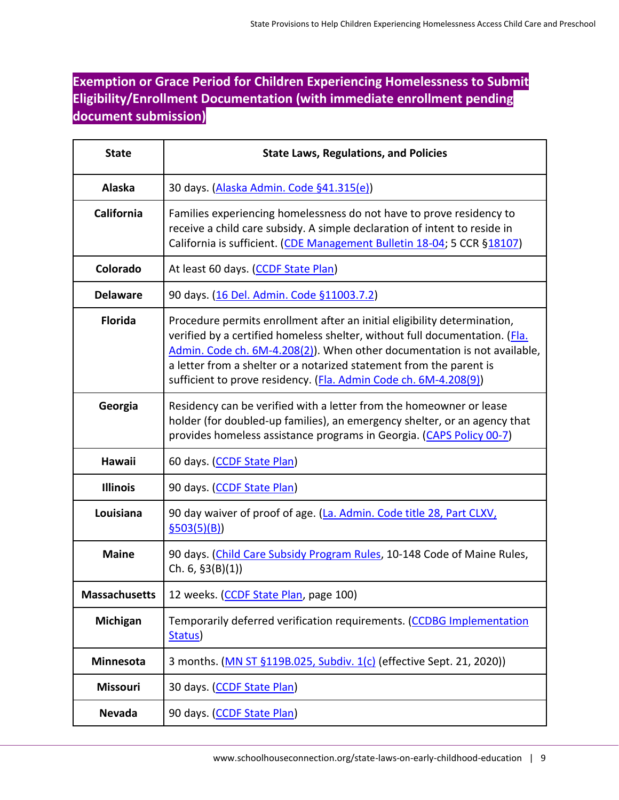#### <span id="page-8-0"></span>**Exemption or Grace Period for Children Experiencing Homelessness to Submit Eligibility/Enrollment Documentation (with immediate enrollment pending document submission)**

| <b>State</b>         | <b>State Laws, Regulations, and Policies</b>                                                                                                                                                                                                                                                                                                                                   |
|----------------------|--------------------------------------------------------------------------------------------------------------------------------------------------------------------------------------------------------------------------------------------------------------------------------------------------------------------------------------------------------------------------------|
| Alaska               | 30 days. (Alaska Admin. Code §41.315(e))                                                                                                                                                                                                                                                                                                                                       |
| California           | Families experiencing homelessness do not have to prove residency to<br>receive a child care subsidy. A simple declaration of intent to reside in<br>California is sufficient. (CDE Management Bulletin 18-04; 5 CCR §18107)                                                                                                                                                   |
| Colorado             | At least 60 days. (CCDF State Plan)                                                                                                                                                                                                                                                                                                                                            |
| <b>Delaware</b>      | 90 days. (16 Del. Admin. Code §11003.7.2)                                                                                                                                                                                                                                                                                                                                      |
| <b>Florida</b>       | Procedure permits enrollment after an initial eligibility determination,<br>verified by a certified homeless shelter, without full documentation. (Fla.<br>Admin. Code ch. 6M-4.208(2)). When other documentation is not available,<br>a letter from a shelter or a notarized statement from the parent is<br>sufficient to prove residency. (Fla. Admin Code ch. 6M-4.208(9)) |
| Georgia              | Residency can be verified with a letter from the homeowner or lease<br>holder (for doubled-up families), an emergency shelter, or an agency that<br>provides homeless assistance programs in Georgia. (CAPS Policy 00-7)                                                                                                                                                       |
| <b>Hawaii</b>        | 60 days. (CCDF State Plan)                                                                                                                                                                                                                                                                                                                                                     |
| <b>Illinois</b>      | 90 days. (CCDF State Plan)                                                                                                                                                                                                                                                                                                                                                     |
| Louisiana            | 90 day waiver of proof of age. (La. Admin. Code title 28, Part CLXV,<br>\$503(5)(B)                                                                                                                                                                                                                                                                                            |
| <b>Maine</b>         | 90 days. (Child Care Subsidy Program Rules, 10-148 Code of Maine Rules,<br>Ch. $6, §3(B)(1)$                                                                                                                                                                                                                                                                                   |
| <b>Massachusetts</b> | 12 weeks. (CCDF State Plan, page 100)                                                                                                                                                                                                                                                                                                                                          |
| Michigan             | Temporarily deferred verification requirements. (CCDBG Implementation<br>Status)                                                                                                                                                                                                                                                                                               |
| Minnesota            | 3 months. (MN ST §119B.025, Subdiv. 1(c) (effective Sept. 21, 2020))                                                                                                                                                                                                                                                                                                           |
| Missouri             | 30 days. (CCDF State Plan)                                                                                                                                                                                                                                                                                                                                                     |
| <b>Nevada</b>        | 90 days. (CCDF State Plan)                                                                                                                                                                                                                                                                                                                                                     |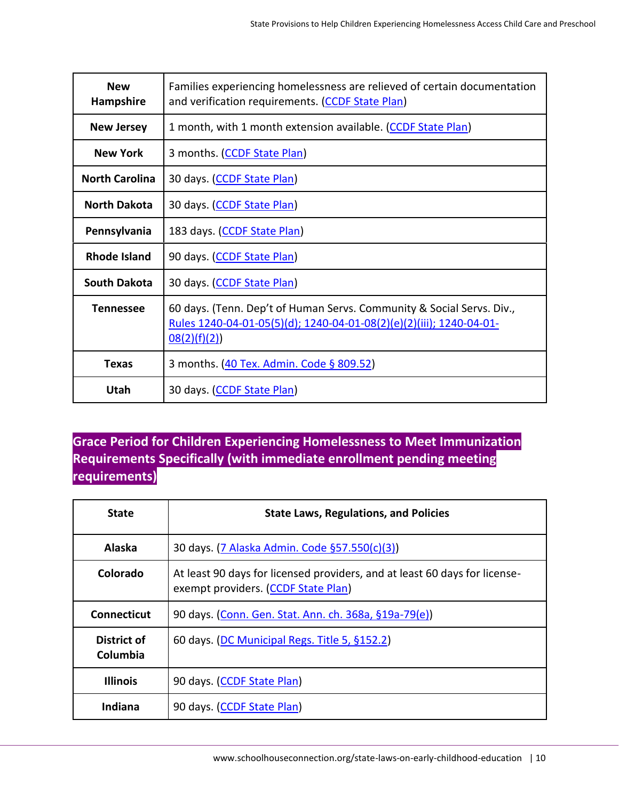| <b>New</b><br>Hampshire | Families experiencing homelessness are relieved of certain documentation<br>and verification requirements. (CCDF State Plan)                                |
|-------------------------|-------------------------------------------------------------------------------------------------------------------------------------------------------------|
| <b>New Jersey</b>       | 1 month, with 1 month extension available. (CCDF State Plan)                                                                                                |
| <b>New York</b>         | 3 months. (CCDF State Plan)                                                                                                                                 |
| <b>North Carolina</b>   | 30 days. (CCDF State Plan)                                                                                                                                  |
| <b>North Dakota</b>     | 30 days. (CCDF State Plan)                                                                                                                                  |
| Pennsylvania            | 183 days. (CCDF State Plan)                                                                                                                                 |
| <b>Rhode Island</b>     | 90 days. (CCDF State Plan)                                                                                                                                  |
| <b>South Dakota</b>     | 30 days. (CCDF State Plan)                                                                                                                                  |
| <b>Tennessee</b>        | 60 days. (Tenn. Dep't of Human Servs. Community & Social Servs. Div.,<br>Rules 1240-04-01-05(5)(d); 1240-04-01-08(2)(e)(2)(iii); 1240-04-01-<br>08(2)(f)(2) |
| <b>Texas</b>            | 3 months. (40 Tex. Admin. Code § 809.52)                                                                                                                    |
| Utah                    | 30 days. (CCDF State Plan)                                                                                                                                  |

#### <span id="page-9-0"></span>**Grace Period for Children Experiencing Homelessness to Meet Immunization Requirements Specifically (with immediate enrollment pending meeting requirements)**

| <b>State</b>            | <b>State Laws, Regulations, and Policies</b>                                                                      |
|-------------------------|-------------------------------------------------------------------------------------------------------------------|
| Alaska                  | 30 days. (7 Alaska Admin. Code §57.550(c)(3))                                                                     |
| Colorado                | At least 90 days for licensed providers, and at least 60 days for license-<br>exempt providers. (CCDF State Plan) |
| Connecticut             | 90 days. (Conn. Gen. Stat. Ann. ch. 368a, §19a-79(e))                                                             |
| District of<br>Columbia | 60 days. (DC Municipal Regs. Title 5, §152.2)                                                                     |
| <b>Illinois</b>         | 90 days. (CCDF State Plan)                                                                                        |
| Indiana                 | 90 days. (CCDF State Plan)                                                                                        |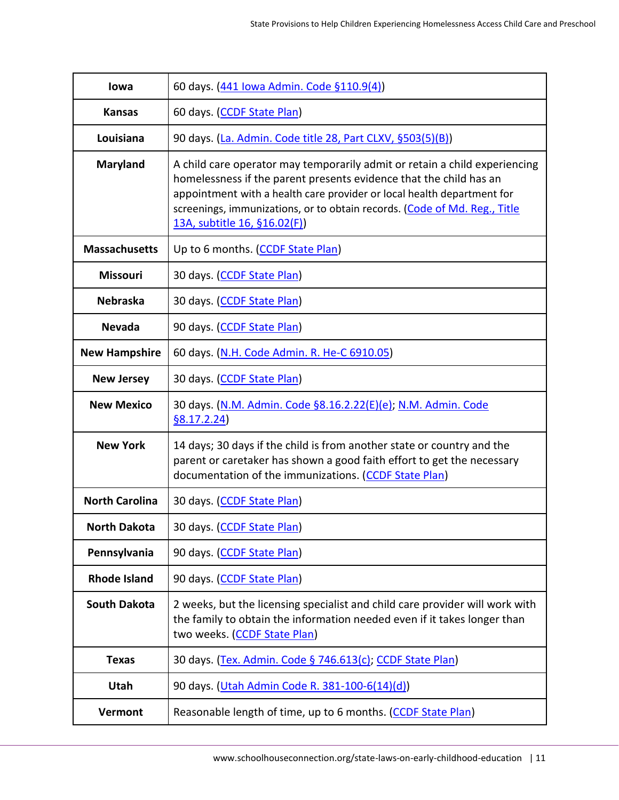| lowa                  | 60 days. (441 Iowa Admin. Code §110.9(4))                                                                                                                                                                                                                                                                                               |
|-----------------------|-----------------------------------------------------------------------------------------------------------------------------------------------------------------------------------------------------------------------------------------------------------------------------------------------------------------------------------------|
| <b>Kansas</b>         | 60 days. (CCDF State Plan)                                                                                                                                                                                                                                                                                                              |
| Louisiana             | 90 days. (La. Admin. Code title 28, Part CLXV, §503(5)(B))                                                                                                                                                                                                                                                                              |
| <b>Maryland</b>       | A child care operator may temporarily admit or retain a child experiencing<br>homelessness if the parent presents evidence that the child has an<br>appointment with a health care provider or local health department for<br>screenings, immunizations, or to obtain records. (Code of Md. Reg., Title<br>13A, subtitle 16, §16.02(F)) |
| <b>Massachusetts</b>  | Up to 6 months. (CCDF State Plan)                                                                                                                                                                                                                                                                                                       |
| <b>Missouri</b>       | 30 days. (CCDF State Plan)                                                                                                                                                                                                                                                                                                              |
| <b>Nebraska</b>       | 30 days. (CCDF State Plan)                                                                                                                                                                                                                                                                                                              |
| <b>Nevada</b>         | 90 days. (CCDF State Plan)                                                                                                                                                                                                                                                                                                              |
| <b>New Hampshire</b>  | 60 days. (N.H. Code Admin. R. He-C 6910.05)                                                                                                                                                                                                                                                                                             |
| <b>New Jersey</b>     | 30 days. (CCDF State Plan)                                                                                                                                                                                                                                                                                                              |
| <b>New Mexico</b>     | 30 days. (N.M. Admin. Code §8.16.2.22(E)(e); N.M. Admin. Code<br>\$8.17.2.24\$                                                                                                                                                                                                                                                          |
| <b>New York</b>       | 14 days; 30 days if the child is from another state or country and the<br>parent or caretaker has shown a good faith effort to get the necessary<br>documentation of the immunizations. (CCDF State Plan)                                                                                                                               |
| <b>North Carolina</b> | 30 days. (CCDF State Plan)                                                                                                                                                                                                                                                                                                              |
| <b>North Dakota</b>   | 30 days. (CCDF State Plan)                                                                                                                                                                                                                                                                                                              |
| Pennsylvania          | 90 days. (CCDF State Plan)                                                                                                                                                                                                                                                                                                              |
| <b>Rhode Island</b>   | 90 days. (CCDF State Plan)                                                                                                                                                                                                                                                                                                              |
| <b>South Dakota</b>   | 2 weeks, but the licensing specialist and child care provider will work with<br>the family to obtain the information needed even if it takes longer than<br>two weeks. (CCDF State Plan)                                                                                                                                                |
| <b>Texas</b>          | 30 days. (Tex. Admin. Code § 746.613(c); CCDF State Plan)                                                                                                                                                                                                                                                                               |
| Utah                  | 90 days. (Utah Admin Code R. 381-100-6(14)(d))                                                                                                                                                                                                                                                                                          |
| Vermont               | Reasonable length of time, up to 6 months. (CCDF State Plan)                                                                                                                                                                                                                                                                            |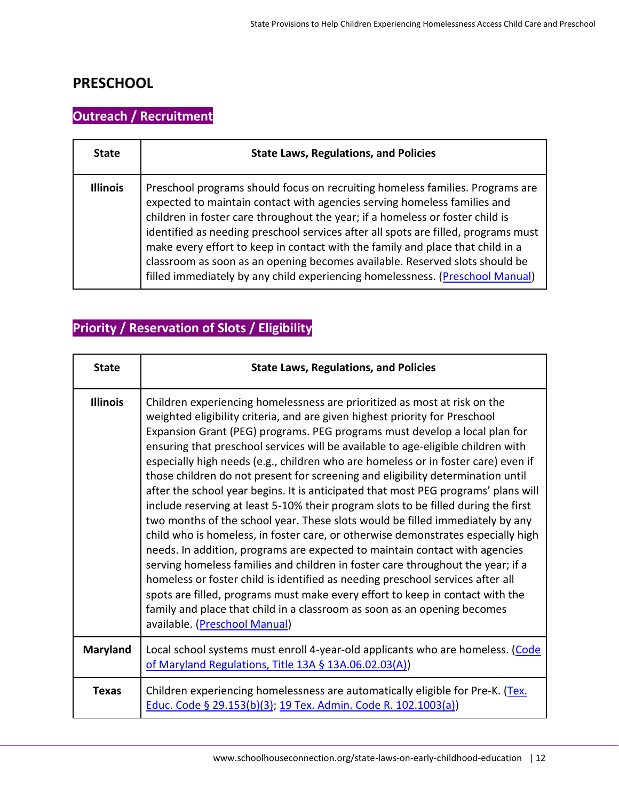#### **PRESCHOOL**

## <span id="page-11-0"></span>**Outreach / Recruitment**

| <b>State</b>    | <b>State Laws, Regulations, and Policies</b>                                                                                                                                                                                                                                                                                                                                                                                                                                                                                                                                       |
|-----------------|------------------------------------------------------------------------------------------------------------------------------------------------------------------------------------------------------------------------------------------------------------------------------------------------------------------------------------------------------------------------------------------------------------------------------------------------------------------------------------------------------------------------------------------------------------------------------------|
| <b>Illinois</b> | Preschool programs should focus on recruiting homeless families. Programs are<br>expected to maintain contact with agencies serving homeless families and<br>children in foster care throughout the year; if a homeless or foster child is<br>identified as needing preschool services after all spots are filled, programs must<br>make every effort to keep in contact with the family and place that child in a<br>classroom as soon as an opening becomes available. Reserved slots should be<br>filled immediately by any child experiencing homelessness. (Preschool Manual) |

## <span id="page-11-1"></span>**Priority / Reservation of Slots / Eligibility**

| <b>State</b>    | <b>State Laws, Regulations, and Policies</b>                                                                                                                                                                                                                                                                                                                                                                                                                                                                                                                                                                                                                                                                                                                                                                                                                                                                                                                                                                                                                                                                                                                                                                                                                                                          |
|-----------------|-------------------------------------------------------------------------------------------------------------------------------------------------------------------------------------------------------------------------------------------------------------------------------------------------------------------------------------------------------------------------------------------------------------------------------------------------------------------------------------------------------------------------------------------------------------------------------------------------------------------------------------------------------------------------------------------------------------------------------------------------------------------------------------------------------------------------------------------------------------------------------------------------------------------------------------------------------------------------------------------------------------------------------------------------------------------------------------------------------------------------------------------------------------------------------------------------------------------------------------------------------------------------------------------------------|
| <b>Illinois</b> | Children experiencing homelessness are prioritized as most at risk on the<br>weighted eligibility criteria, and are given highest priority for Preschool<br>Expansion Grant (PEG) programs. PEG programs must develop a local plan for<br>ensuring that preschool services will be available to age-eligible children with<br>especially high needs (e.g., children who are homeless or in foster care) even if<br>those children do not present for screening and eligibility determination until<br>after the school year begins. It is anticipated that most PEG programs' plans will<br>include reserving at least 5-10% their program slots to be filled during the first<br>two months of the school year. These slots would be filled immediately by any<br>child who is homeless, in foster care, or otherwise demonstrates especially high<br>needs. In addition, programs are expected to maintain contact with agencies<br>serving homeless families and children in foster care throughout the year; if a<br>homeless or foster child is identified as needing preschool services after all<br>spots are filled, programs must make every effort to keep in contact with the<br>family and place that child in a classroom as soon as an opening becomes<br>available. (Preschool Manual) |
| <b>Maryland</b> | Local school systems must enroll 4-year-old applicants who are homeless. (Code<br>of Maryland Regulations, Title 13A § 13A.06.02.03(A))                                                                                                                                                                                                                                                                                                                                                                                                                                                                                                                                                                                                                                                                                                                                                                                                                                                                                                                                                                                                                                                                                                                                                               |
| <b>Texas</b>    | Children experiencing homelessness are automatically eligible for Pre-K. (Tex.<br>Educ. Code § 29.153(b)(3); 19 Tex. Admin. Code R. 102.1003(a))                                                                                                                                                                                                                                                                                                                                                                                                                                                                                                                                                                                                                                                                                                                                                                                                                                                                                                                                                                                                                                                                                                                                                      |